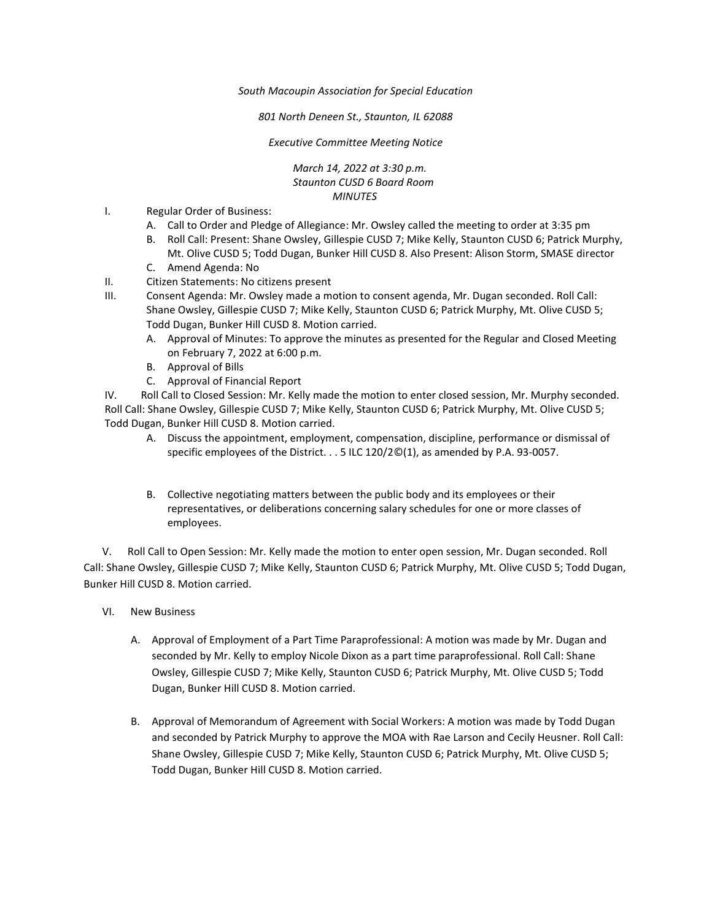*South Macoupin Association for Special Education* 

*801 North Deneen St., Staunton, IL 62088* 

*Executive Committee Meeting Notice*

*March 14, 2022 at 3:30 p.m. Staunton CUSD 6 Board Room MINUTES*

- I. Regular Order of Business:
	- A. Call to Order and Pledge of Allegiance: Mr. Owsley called the meeting to order at 3:35 pm
	- B. Roll Call: Present: Shane Owsley, Gillespie CUSD 7; Mike Kelly, Staunton CUSD 6; Patrick Murphy, Mt. Olive CUSD 5; Todd Dugan, Bunker Hill CUSD 8. Also Present: Alison Storm, SMASE director
	- C. Amend Agenda: No
- II. Citizen Statements: No citizens present
- III. Consent Agenda: Mr. Owsley made a motion to consent agenda, Mr. Dugan seconded. Roll Call: Shane Owsley, Gillespie CUSD 7; Mike Kelly, Staunton CUSD 6; Patrick Murphy, Mt. Olive CUSD 5; Todd Dugan, Bunker Hill CUSD 8. Motion carried.
	- A. Approval of Minutes: To approve the minutes as presented for the Regular and Closed Meeting on February 7, 2022 at 6:00 p.m.
	- B. Approval of Bills
	- C. Approval of Financial Report

IV. Roll Call to Closed Session: Mr. Kelly made the motion to enter closed session, Mr. Murphy seconded. Roll Call: Shane Owsley, Gillespie CUSD 7; Mike Kelly, Staunton CUSD 6; Patrick Murphy, Mt. Olive CUSD 5; Todd Dugan, Bunker Hill CUSD 8. Motion carried.

- A. Discuss the appointment, employment, compensation, discipline, performance or dismissal of specific employees of the District. . . 5 ILC 120/2©(1), as amended by P.A. 93-0057.
- B. Collective negotiating matters between the public body and its employees or their representatives, or deliberations concerning salary schedules for one or more classes of employees.

 V. Roll Call to Open Session: Mr. Kelly made the motion to enter open session, Mr. Dugan seconded. Roll Call: Shane Owsley, Gillespie CUSD 7; Mike Kelly, Staunton CUSD 6; Patrick Murphy, Mt. Olive CUSD 5; Todd Dugan, Bunker Hill CUSD 8. Motion carried.

- VI. New Business
	- A. Approval of Employment of a Part Time Paraprofessional: A motion was made by Mr. Dugan and seconded by Mr. Kelly to employ Nicole Dixon as a part time paraprofessional. Roll Call: Shane Owsley, Gillespie CUSD 7; Mike Kelly, Staunton CUSD 6; Patrick Murphy, Mt. Olive CUSD 5; Todd Dugan, Bunker Hill CUSD 8. Motion carried.
	- B. Approval of Memorandum of Agreement with Social Workers: A motion was made by Todd Dugan and seconded by Patrick Murphy to approve the MOA with Rae Larson and Cecily Heusner. Roll Call: Shane Owsley, Gillespie CUSD 7; Mike Kelly, Staunton CUSD 6; Patrick Murphy, Mt. Olive CUSD 5; Todd Dugan, Bunker Hill CUSD 8. Motion carried.